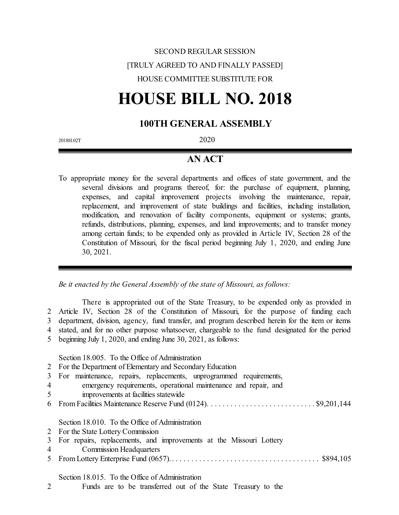## SECOND REGULAR SESSION [TRULY AGREED TO AND FINALLY PASSED] HOUSE COMMITTEE SUBSTITUTE FOR

# **HOUSE BILL NO. 2018**

## **100TH GENERAL ASSEMBLY**

2018H.02T 2020

### **AN ACT**

To appropriate money for the several departments and offices of state government, and the several divisions and programs thereof, for: the purchase of equipment, planning, expenses, and capital improvement projects involving the maintenance, repair, replacement, and improvement of state buildings and facilities, including installation, modification, and renovation of facility components, equipment or systems; grants, refunds, distributions, planning, expenses, and land improvements; and to transfer money among certain funds; to be expended only as provided in Article IV, Section 28 of the Constitution of Missouri, for the fiscal period beginning July 1, 2020, and ending June 30, 2021.

*Be it enacted by the General Assembly of the state of Missouri, as follows:*

There is appropriated out of the State Treasury, to be expended only as provided in Article IV, Section 28 of the Constitution of Missouri, for the purpose of funding each department, division, agency, fund transfer, and program described herein for the item or items stated, and for no other purpose whatsoever, chargeable to the fund designated for the period beginning July 1, 2020, and ending June 30, 2021, as follows:

Section 18.005. To the Office of Administration

- 2 For the Department of Elementary and Secondary Education
- 3 For maintenance, repairs, replacements, unprogrammed requirements,
- 4 emergency requirements, operational maintenance and repair, and
- 5 improvements at facilities statewide
- 6 From Facilities Maintenance Reserve Fund (0124). . . . . . . . . . . . . . . . . . . . . . . . . . . . \$9,201,144

Section 18.010. To the Office of Administration

- 2 For the State Lottery Commission
- 3 For repairs, replacements, and improvements at the Missouri Lottery
- 4 Commission Headquarters 5 From Lottery Enterprise Fund (0657).. . . . . . . . . . . . . . . . . . . . . . . . . . . . . . . . . . . . . . \$894,105

Section 18.015. To the Office of Administration

2 Funds are to be transferred out of the State Treasury to the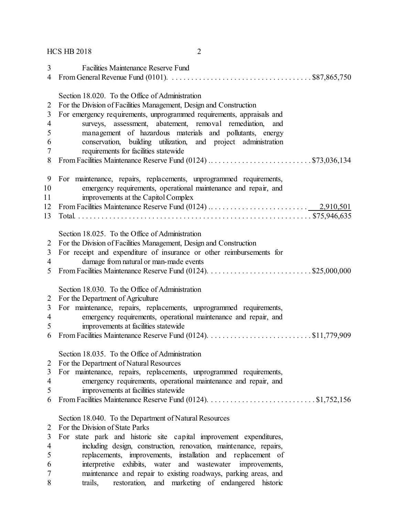HCS HB 2018 2

| 3              | <b>Facilities Maintenance Reserve Fund</b>                                                                                           |
|----------------|--------------------------------------------------------------------------------------------------------------------------------------|
| 4              | From General Revenue Fund (0101). $\ldots \ldots \ldots \ldots \ldots \ldots \ldots \ldots \ldots \ldots \ldots \ldots$ \$87,865,750 |
|                |                                                                                                                                      |
|                | Section 18.020. To the Office of Administration                                                                                      |
| $\overline{2}$ | For the Division of Facilities Management, Design and Construction                                                                   |
| 3              | For emergency requirements, unprogrammed requirements, appraisals and                                                                |
| $\overline{4}$ | surveys, assessment, abatement, removal remediation, and                                                                             |
| 5              | management of hazardous materials and pollutants, energy                                                                             |
| 6              | conservation, building utilization, and project administration                                                                       |
| 7              | requirements for facilities statewide                                                                                                |
| 8              |                                                                                                                                      |
|                |                                                                                                                                      |
| 9              | For maintenance, repairs, replacements, unprogrammed requirements,                                                                   |
| 10             | emergency requirements, operational maintenance and repair, and                                                                      |
| 11             | improvements at the Capitol Complex                                                                                                  |
| 12             |                                                                                                                                      |
| 13             |                                                                                                                                      |
|                |                                                                                                                                      |
|                | Section 18.025. To the Office of Administration                                                                                      |
| 2              | For the Division of Facilities Management, Design and Construction                                                                   |
| 3              | For receipt and expenditure of insurance or other reimbursements for                                                                 |
| $\overline{4}$ | damage from natural or man-made events                                                                                               |
| 5              |                                                                                                                                      |
|                |                                                                                                                                      |
|                | Section 18.030. To the Office of Administration                                                                                      |
| 2              | For the Department of Agriculture                                                                                                    |
| 3              | For maintenance, repairs, replacements, unprogrammed requirements,                                                                   |
| $\overline{4}$ | emergency requirements, operational maintenance and repair, and                                                                      |
| 5              | improvements at facilities statewide                                                                                                 |
| 6              |                                                                                                                                      |
|                |                                                                                                                                      |
|                | Section 18.035. To the Office of Administration                                                                                      |
| 2              | For the Department of Natural Resources                                                                                              |
| 3              | For maintenance, repairs, replacements, unprogrammed requirements,                                                                   |
| $\overline{4}$ | emergency requirements, operational maintenance and repair, and                                                                      |
| 5              | improvements at facilities statewide                                                                                                 |
| 6              |                                                                                                                                      |
|                |                                                                                                                                      |
|                | Section 18.040. To the Department of Natural Resources                                                                               |
| 2              | For the Division of State Parks                                                                                                      |
| 3              | For state park and historic site capital improvement expenditures,                                                                   |
| $\overline{4}$ | including design, construction, renovation, maintenance, repairs,                                                                    |
| 5              | replacements, improvements, installation and replacement of                                                                          |
| 6              | interpretive exhibits, water and wastewater improvements,                                                                            |
| 7              | maintenance and repair to existing roadways, parking areas, and                                                                      |
| 8              | restoration, and marketing of endangered historic<br>trails,                                                                         |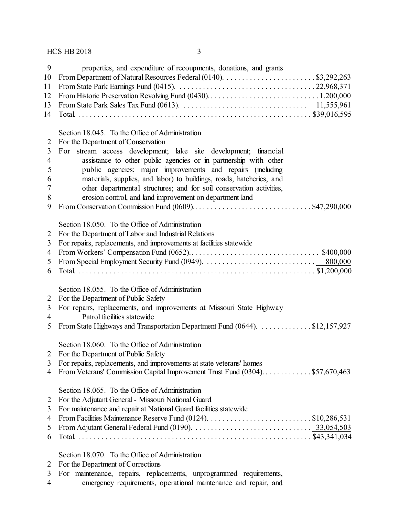#### $HCS$  HB 2018  $\overline{3}$

| - 9 | properties, and expenditure of recoupments, donations, and grants                                                                                                                                                                 |
|-----|-----------------------------------------------------------------------------------------------------------------------------------------------------------------------------------------------------------------------------------|
|     |                                                                                                                                                                                                                                   |
|     |                                                                                                                                                                                                                                   |
|     |                                                                                                                                                                                                                                   |
|     |                                                                                                                                                                                                                                   |
|     |                                                                                                                                                                                                                                   |
|     |                                                                                                                                                                                                                                   |
|     | Section 18.045. To the Office of Administration                                                                                                                                                                                   |
|     | 2 For the Department of Conservation                                                                                                                                                                                              |
| 3   | For stream access development; lake site development; financial                                                                                                                                                                   |
| 4   | assistance to other public agencies or in partnership with other                                                                                                                                                                  |
| 5   | public agencies; major improvements and repairs (including                                                                                                                                                                        |
|     | $\frac{1}{2}$ , and the set of the set of the set of the set of the set of the set of the set of the set of the set of the set of the set of the set of the set of the set of the set of the set of the set of the set of the set |

- materials, supplies, and labor) to buildings, roads, hatcheries, and
- other departmental structures; and for soil conservation activities, erosion control, and land improvement on department land
- From Conservation Commission Fund (0609).. . . . . . . . . . . . . . . . . . . . . . . . . . . . . . \$47,290,000

Section 18.050. To the Office of Administration

- For the Department of Labor and Industrial Relations
- For repairs, replacements, and improvements at facilities statewide
- From Workers' Compensation Fund (0652).. . . . . . . . . . . . . . . . . . . . . . . . . . . . . . . . . \$400,000 From Special Employment Security Fund (0949). . . . . . . . . . . . . . . . . . . . . . . . . . . . . 800,000
- Total. . . . . . . . . . . . . . . . . . . . . . . . . . . . . . . . . . . . . . . . . . . . . . . . . . . . . . . . . . . . . . \$1,200,000

Section 18.055. To the Office of Administration

- For the Department of Public Safety
- For repairs, replacements, and improvements at Missouri State Highway
- Patrol facilities statewide
- 5 From State Highways and Transportation Department Fund (0644). . . . . . . . . . . . . \$12,157,927

#### Section 18.060. To the Office of Administration

- For the Department of Public Safety
- For repairs, replacements, and improvements at state veterans' homes
- From Veterans' Commission Capital Improvement Trust Fund (0304). . . . . . . . . . . . . \$57,670,463

#### Section 18.065. To the Office of Administration

- For the Adjutant General- Missouri National Guard
- For maintenance and repair at National Guard facilities statewide
- From Facilities Maintenance Reserve Fund (0124). . . . . . . . . . . . . . . . . . . . . . . . . . . \$10,286,531 From Adjutant General Federal Fund (0190). . . . . . . . . . . . . . . . . . . . . . . . . . . . . . . 33,054,503 Total. . . . . . . . . . . . . . . . . . . . . . . . . . . . . . . . . . . . . . . . . . . . . . . . . . . . . . . . . . . . . \$43,341,034

Section 18.070. To the Office of Administration

- For the Department of Corrections
- For maintenance, repairs, replacements, unprogrammed requirements,
- emergency requirements, operational maintenance and repair, and